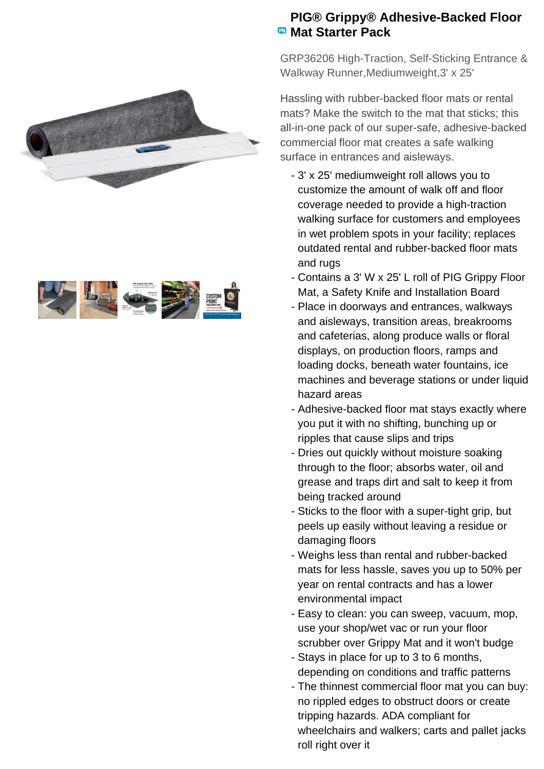



## **PIG® Grippy® Adhesive-Backed Floor Mat Starter Pack**

GRP36206 High-Traction, Self-Sticking Entrance & Walkway Runner,Mediumweight,3' x 25'

Hassling with rubber-backed floor mats or rental mats? Make the switch to the mat that sticks; this all-in-one pack of our super-safe, adhesive-backed commercial floor mat creates a safe walking surface in entrances and aisleways.

- 3' x 25' mediumweight roll allows you to customize the amount of walk off and floor coverage needed to provide a high-traction walking surface for customers and employees in wet problem spots in your facility; replaces outdated rental and rubber-backed floor mats and rugs
- Contains a 3' W x 25' L roll of PIG Grippy Floor Mat, a Safety Knife and Installation Board
- Place in doorways and entrances, walkways and aisleways, transition areas, breakrooms and cafeterias, along produce walls or floral displays, on production floors, ramps and loading docks, beneath water fountains, ice machines and beverage stations or under liquid hazard areas
- Adhesive-backed floor mat stays exactly where you put it with no shifting, bunching up or ripples that cause slips and trips
- Dries out quickly without moisture soaking through to the floor; absorbs water, oil and grease and traps dirt and salt to keep it from being tracked around
- Sticks to the floor with a super-tight grip, but peels up easily without leaving a residue or damaging floors
- Weighs less than rental and rubber-backed mats for less hassle, saves you up to 50% per year on rental contracts and has a lower environmental impact
- Easy to clean: you can sweep, vacuum, mop, use your shop/wet vac or run your floor scrubber over Grippy Mat and it won't budge
- Stays in place for up to 3 to 6 months, depending on conditions and traffic patterns
- The thinnest commercial floor mat you can buy: no rippled edges to obstruct doors or create tripping hazards. ADA compliant for wheelchairs and walkers; carts and pallet jacks roll right over it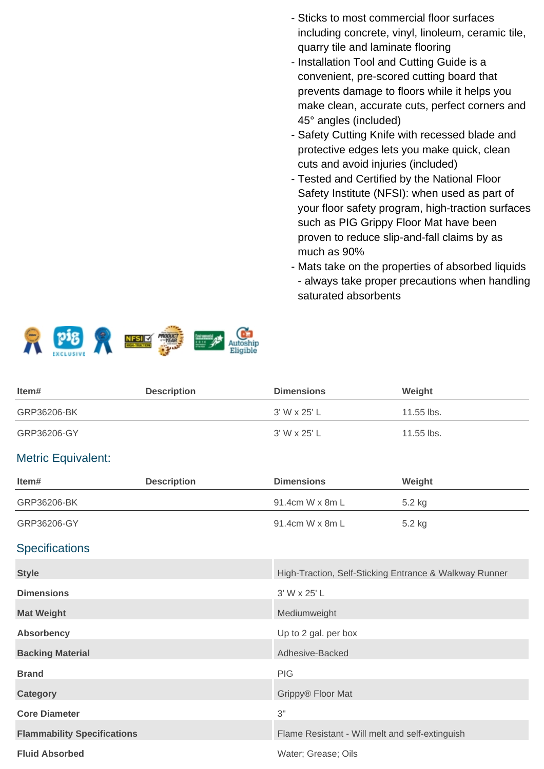- Sticks to most commercial floor surfaces including concrete, vinyl, linoleum, ceramic tile, quarry tile and laminate flooring
- Installation Tool and Cutting Guide is a convenient, pre-scored cutting board that prevents damage to floors while it helps you make clean, accurate cuts, perfect corners and 45° angles (included)
- Safety Cutting Knife with recessed blade and protective edges lets you make quick, clean cuts and avoid injuries (included)
- Tested and Certified by the National Floor Safety Institute (NFSI): when used as part of your floor safety program, high-traction surfaces such as PIG Grippy Floor Mat have been proven to reduce slip-and-fall claims by as much as 90%
- Mats take on the properties of absorbed liquids - always take proper precautions when handling saturated absorbents



| Item#       | <b>Description</b> | <b>Dimensions</b> | Weight       |
|-------------|--------------------|-------------------|--------------|
| GRP36206-BK |                    | 3' W x 25' L      | 11.55 lbs.   |
| GRP36206-GY |                    | 3' W x 25' L      | $11.55$ lbs. |

## Metric Equivalent:

| Item#                              | <b>Description</b> | <b>Dimensions</b>                                      | Weight |
|------------------------------------|--------------------|--------------------------------------------------------|--------|
| GRP36206-BK                        |                    | 91.4cm W x 8m L                                        | 5.2 kg |
| GRP36206-GY                        |                    | 91.4cm W x 8m L                                        | 5.2 kg |
| <b>Specifications</b>              |                    |                                                        |        |
| <b>Style</b>                       |                    | High-Traction, Self-Sticking Entrance & Walkway Runner |        |
| <b>Dimensions</b>                  |                    | 3' W x 25' L                                           |        |
| <b>Mat Weight</b>                  |                    | Mediumweight                                           |        |
| <b>Absorbency</b>                  |                    | Up to 2 gal. per box                                   |        |
| <b>Backing Material</b>            |                    | Adhesive-Backed                                        |        |
| <b>Brand</b>                       |                    | <b>PIG</b>                                             |        |
| <b>Category</b>                    |                    | Grippy® Floor Mat                                      |        |
| <b>Core Diameter</b>               |                    | 3"                                                     |        |
| <b>Flammability Specifications</b> |                    | Flame Resistant - Will melt and self-extinguish        |        |
| <b>Fluid Absorbed</b>              |                    | Water; Grease; Oils                                    |        |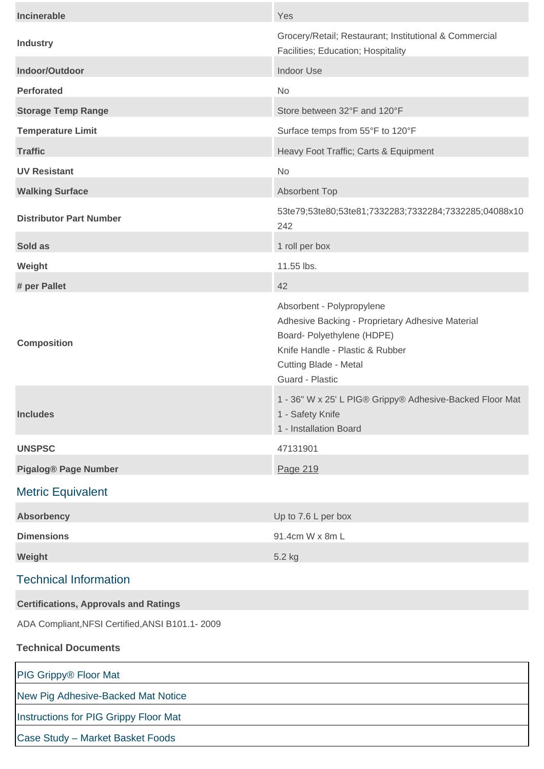| <b>Incinerable</b>                              | Yes                                                                                                                                                                                               |  |  |
|-------------------------------------------------|---------------------------------------------------------------------------------------------------------------------------------------------------------------------------------------------------|--|--|
| <b>Industry</b>                                 | Grocery/Retail; Restaurant; Institutional & Commercial<br>Facilities; Education; Hospitality                                                                                                      |  |  |
| Indoor/Outdoor                                  | <b>Indoor Use</b>                                                                                                                                                                                 |  |  |
| <b>Perforated</b>                               | <b>No</b>                                                                                                                                                                                         |  |  |
| <b>Storage Temp Range</b>                       | Store between 32°F and 120°F                                                                                                                                                                      |  |  |
| <b>Temperature Limit</b>                        | Surface temps from 55°F to 120°F                                                                                                                                                                  |  |  |
| <b>Traffic</b>                                  | Heavy Foot Traffic; Carts & Equipment                                                                                                                                                             |  |  |
| <b>UV Resistant</b>                             | <b>No</b>                                                                                                                                                                                         |  |  |
| <b>Walking Surface</b>                          | <b>Absorbent Top</b>                                                                                                                                                                              |  |  |
| <b>Distributor Part Number</b>                  | 53te79;53te80;53te81;7332283;7332284;7332285;04088x10<br>242                                                                                                                                      |  |  |
| Sold as                                         | 1 roll per box                                                                                                                                                                                    |  |  |
| Weight                                          | 11.55 lbs.                                                                                                                                                                                        |  |  |
| # per Pallet                                    | 42                                                                                                                                                                                                |  |  |
| <b>Composition</b>                              | Absorbent - Polypropylene<br>Adhesive Backing - Proprietary Adhesive Material<br>Board- Polyethylene (HDPE)<br>Knife Handle - Plastic & Rubber<br><b>Cutting Blade - Metal</b><br>Guard - Plastic |  |  |
| <b>Includes</b>                                 | 1 - 36" W x 25' L PIG® Grippy® Adhesive-Backed Floor Mat<br>1 - Safety Knife<br>1 - Installation Board                                                                                            |  |  |
| <b>UNSPSC</b>                                   | 47131901                                                                                                                                                                                          |  |  |
| <b>Pigalog® Page Number</b>                     | Page 219                                                                                                                                                                                          |  |  |
| <b>Metric Equivalent</b>                        |                                                                                                                                                                                                   |  |  |
| <b>Absorbency</b>                               | Up to 7.6 L per box                                                                                                                                                                               |  |  |
| <b>Dimensions</b>                               | 91.4cm W x 8m L                                                                                                                                                                                   |  |  |
| Weight                                          | 5.2 kg                                                                                                                                                                                            |  |  |
| <b>Technical Information</b>                    |                                                                                                                                                                                                   |  |  |
| <b>Certifications, Approvals and Ratings</b>    |                                                                                                                                                                                                   |  |  |
| ADA Compliant, NFSI Certified, ANSI B101.1-2009 |                                                                                                                                                                                                   |  |  |
| <b>Technical Documents</b>                      |                                                                                                                                                                                                   |  |  |
| PIG Grippy® Floor Mat                           |                                                                                                                                                                                                   |  |  |
| New Pig Adhesive-Backed Mat Notice              |                                                                                                                                                                                                   |  |  |

[Instructions for PIG Grippy Floor Mat](https://newpig.scene7.com/is/content/NewPig/pdfs/INST_NOTRIPMAT.pdf) 

[Case Study – Market Basket Foods](https://newpig.scene7.com/is/content/NewPig/pdfs/MARKETBASKET_NOTRIPSPECIFIC.pdf)